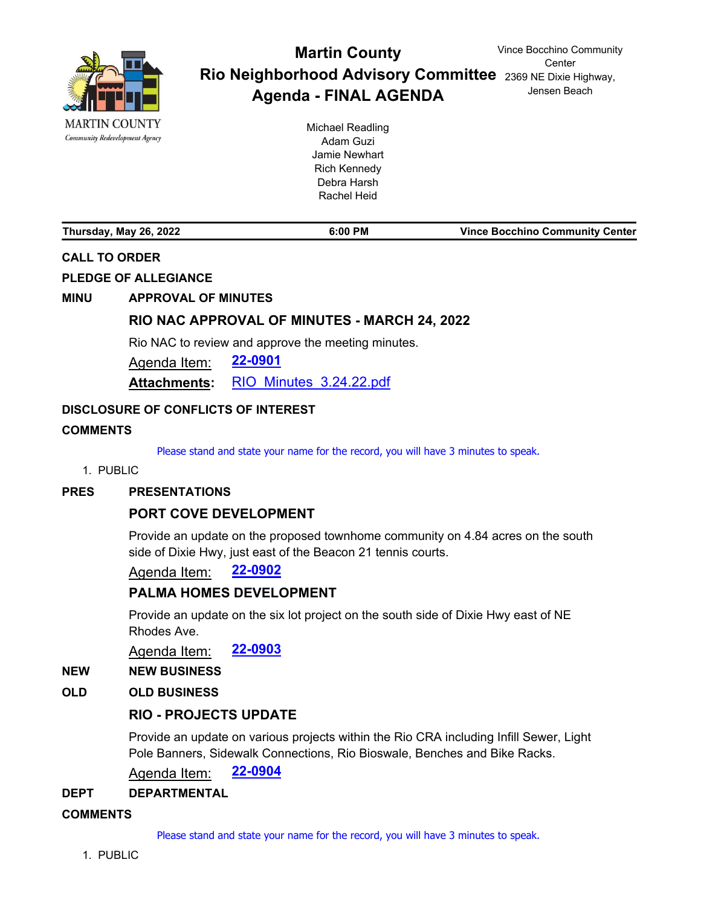

# Rio Neighborhood Advisory Committee 2369 NE Dixie Highway, **Martin County Agenda - FINAL AGENDA**

Michael Readling Adam Guzi Jamie Newhart Rich Kennedy Debra Harsh Rachel Heid

**Thursday, May 26, 2022 6:00 PM Vince Bocchino Community Center**

# **CALL TO ORDER**

**PLEDGE OF ALLEGIANCE**

## **MINU APPROVAL OF MINUTES**

# **[RIO NAC APPROVAL OF MINUTES - MARCH 24, 2022](http://martin.legistar.com/gateway.aspx?m=l&id=/matter.aspx?key=6262)**

Rio NAC to review and approve the meeting minutes.

Agenda Item: **[22-0901](http://martin.legistar.com/gateway.aspx?m=l&id=/matter.aspx?key=6262)**

**Attachments:** [RIO\\_Minutes\\_3.24.22.pdf](http://martin.legistar.com/gateway.aspx?M=F&ID=0c6c0e85-0dbc-4f24-a18e-9d7292b6ecd8.pdf)

## **DISCLOSURE OF CONFLICTS OF INTEREST**

## **COMMENTS**

Please stand and state your name for the record, you will have 3 minutes to speak.

#### 1. PUBLIC

#### **PRES PRESENTATIONS**

## **[PORT COVE DEVELOPMENT](http://martin.legistar.com/gateway.aspx?m=l&id=/matter.aspx?key=6263)**

Provide an update on the proposed townhome community on 4.84 acres on the south side of Dixie Hwy, just east of the Beacon 21 tennis courts.

## Agenda Item: **[22-0902](http://martin.legistar.com/gateway.aspx?m=l&id=/matter.aspx?key=6263)**

## **[PALMA HOMES DEVELOPMENT](http://martin.legistar.com/gateway.aspx?m=l&id=/matter.aspx?key=6264)**

Provide an update on the six lot project on the south side of Dixie Hwy east of NE Rhodes Ave.

Agenda Item: **[22-0903](http://martin.legistar.com/gateway.aspx?m=l&id=/matter.aspx?key=6264)**

#### **NEW NEW BUSINESS**

## **OLD OLD BUSINESS**

## **[RIO - PROJECTS UPDATE](http://martin.legistar.com/gateway.aspx?m=l&id=/matter.aspx?key=6265)**

Provide an update on various projects within the Rio CRA including Infill Sewer, Light Pole Banners, Sidewalk Connections, Rio Bioswale, Benches and Bike Racks.

Agenda Item: **[22-0904](http://martin.legistar.com/gateway.aspx?m=l&id=/matter.aspx?key=6265)**

#### **DEPT DEPARTMENTAL**

#### **COMMENTS**

Please stand and state your name for the record, you will have 3 minutes to speak.